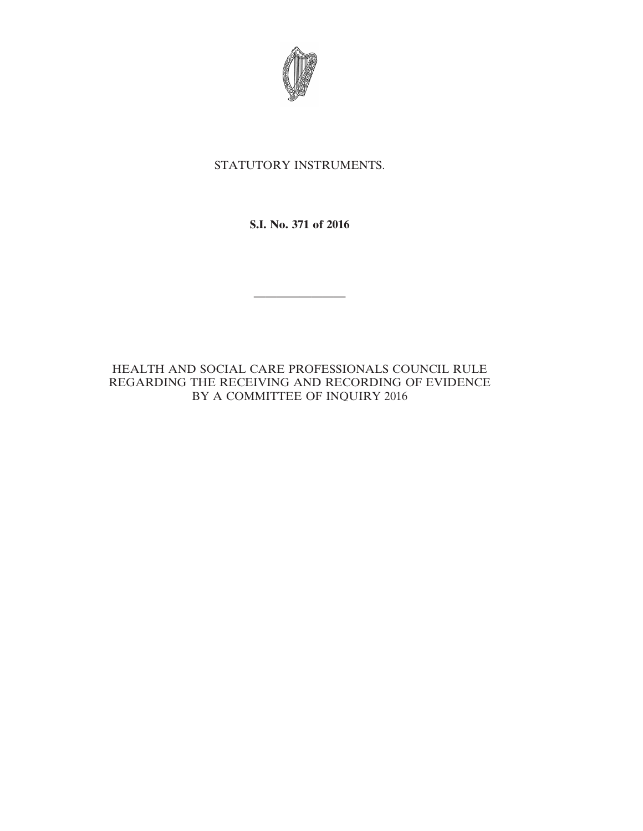

# STATUTORY INSTRUMENTS.

# **S.I. No. 371 of 2016**

————————

HEALTH AND SOCIAL CARE PROFESSIONALS COUNCIL RULE REGARDING THE RECEIVING AND RECORDING OF EVIDENCE BY A COMMITTEE OF INQUIRY 2016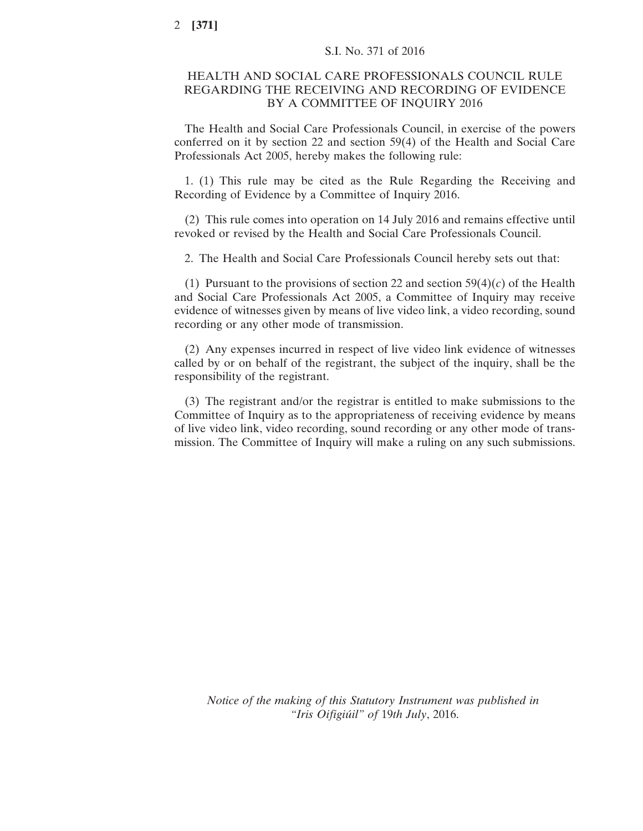### HEALTH AND SOCIAL CARE PROFESSIONALS COUNCIL RULE REGARDING THE RECEIVING AND RECORDING OF EVIDENCE BY A COMMITTEE OF INQUIRY 2016

The Health and Social Care Professionals Council, in exercise of the powers conferred on it by section 22 and section 59(4) of the Health and Social Care Professionals Act 2005, hereby makes the following rule:

1. (1) This rule may be cited as the Rule Regarding the Receiving and Recording of Evidence by a Committee of Inquiry 2016.

(2) This rule comes into operation on 14 July 2016 and remains effective until revoked or revised by the Health and Social Care Professionals Council.

2. The Health and Social Care Professionals Council hereby sets out that:

(1) Pursuant to the provisions of section 22 and section 59(4)(*c*) of the Health and Social Care Professionals Act 2005, a Committee of Inquiry may receive evidence of witnesses given by means of live video link, a video recording, sound recording or any other mode of transmission.

(2) Any expenses incurred in respect of live video link evidence of witnesses called by or on behalf of the registrant, the subject of the inquiry, shall be the responsibility of the registrant.

(3) The registrant and/or the registrar is entitled to make submissions to the Committee of Inquiry as to the appropriateness of receiving evidence by means of live video link, video recording, sound recording or any other mode of transmission. The Committee of Inquiry will make a ruling on any such submissions.

*Notice of the making of this Statutory Instrument was published in "Iris Oifigiúil" of* 19*th July*, 2016.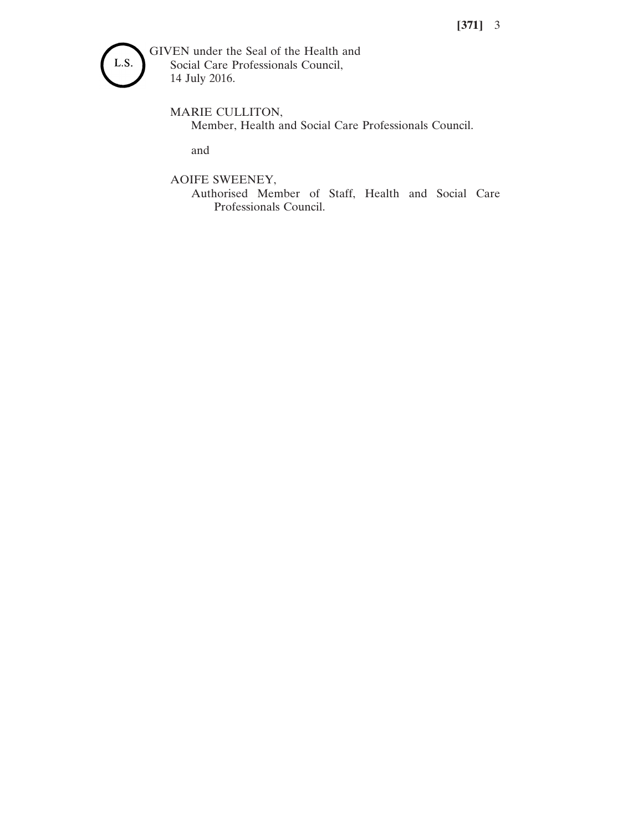

MARIE CULLITON,

Member, Health and Social Care Professionals Council.

and

AOIFE SWEENEY,

Authorised Member of Staff, Health and Social Care Professionals Council.